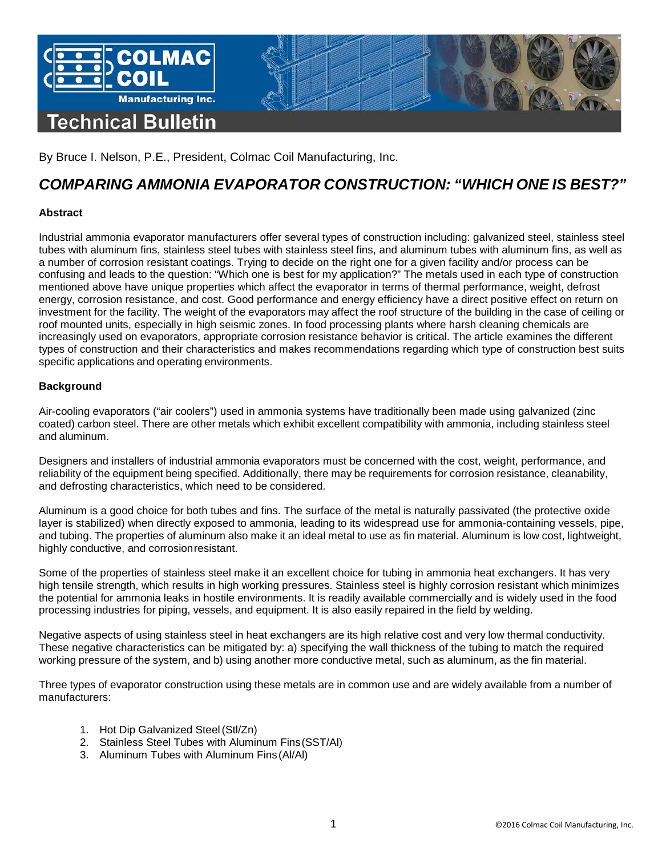

By Bruce I. Nelson, P.E., President, Colmac Coil Manufacturing, Inc.

# *COMPARING AMMONIA EVAPORATOR CONSTRUCTION: "WHICH ONE IS BEST?"*

## **Abstract**

Industrial ammonia evaporator manufacturers offer several types of construction including: galvanized steel, stainless steel tubes with aluminum fins, stainless steel tubes with stainless steel fins, and aluminum tubes with aluminum fins, as well as a number of corrosion resistant coatings. Trying to decide on the right one for a given facility and/or process can be confusing and leads to the question: "Which one is best for my application?" The metals used in each type of construction mentioned above have unique properties which affect the evaporator in terms of thermal performance, weight, defrost energy, corrosion resistance, and cost. Good performance and energy efficiency have a direct positive effect on return on investment for the facility. The weight of the evaporators may affect the roof structure of the building in the case of ceiling or roof mounted units, especially in high seismic zones. In food processing plants where harsh cleaning chemicals are increasingly used on evaporators, appropriate corrosion resistance behavior is critical. The article examines the different types of construction and their characteristics and makes recommendations regarding which type of construction best suits specific applications and operating environments.

## **Background**

Air-cooling evaporators ("air coolers") used in ammonia systems have traditionally been made using galvanized (zinc coated) carbon steel. There are other metals which exhibit excellent compatibility with ammonia, including stainless steel and aluminum.

Designers and installers of industrial ammonia evaporators must be concerned with the cost, weight, performance, and reliability of the equipment being specified. Additionally, there may be requirements for corrosion resistance, cleanability, and defrosting characteristics, which need to be considered.

Aluminum is a good choice for both tubes and fins. The surface of the metal is naturally passivated (the protective oxide layer is stabilized) when directly exposed to ammonia, leading to its widespread use for ammonia-containing vessels, pipe, and tubing. The properties of aluminum also make it an ideal metal to use as fin material. Aluminum is low cost, lightweight, highly conductive, and corrosionresistant.

Some of the properties of stainless steel make it an excellent choice for tubing in ammonia heat exchangers. It has very high tensile strength, which results in high working pressures. Stainless steel is highly corrosion resistant which minimizes the potential for ammonia leaks in hostile environments. It is readily available commercially and is widely used in the food processing industries for piping, vessels, and equipment. It is also easily repaired in the field by welding.

Negative aspects of using stainless steel in heat exchangers are its high relative cost and very low thermal conductivity. These negative characteristics can be mitigated by: a) specifying the wall thickness of the tubing to match the required working pressure of the system, and b) using another more conductive metal, such as aluminum, as the fin material.

Three types of evaporator construction using these metals are in common use and are widely available from a number of manufacturers:

- 1. Hot Dip Galvanized Steel(Stl/Zn)
- 2. Stainless Steel Tubes with Aluminum Fins(SST/Al)
- 3. Aluminum Tubes with Aluminum Fins (Al/Al)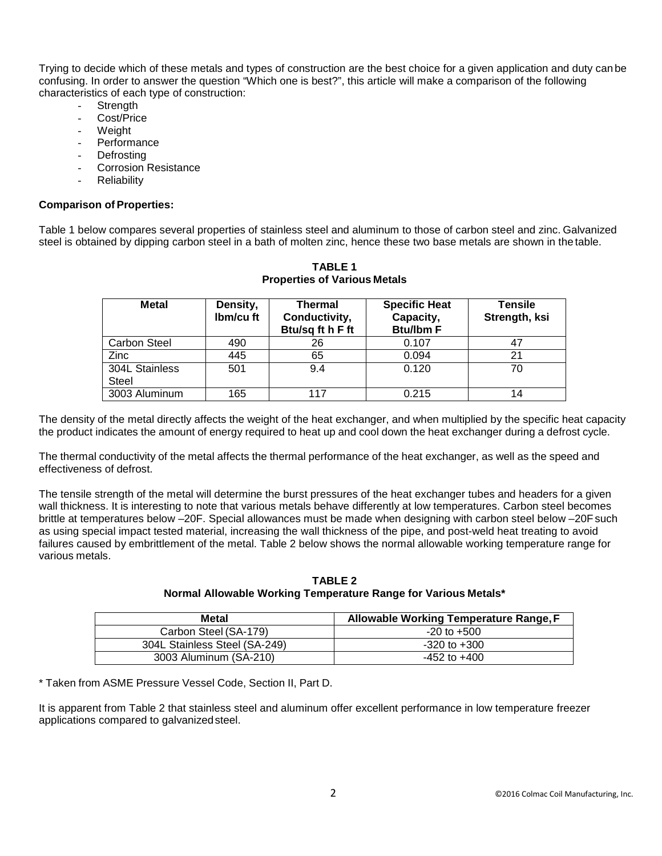Trying to decide which of these metals and types of construction are the best choice for a given application and duty can be confusing. In order to answer the question "Which one is best?", this article will make a comparison of the following characteristics of each type of construction:

- **Strength**
- Cost/Price
- Weight
- **Performance**
- **Defrosting**
- Corrosion Resistance
- **Reliability**

#### **Comparison of Properties:**

Table 1 below compares several properties of stainless steel and aluminum to those of carbon steel and zinc. Galvanized steel is obtained by dipping carbon steel in a bath of molten zinc, hence these two base metals are shown in the table.

| <b>Metal</b>                   | Density,<br>Ibm/cu ft | <b>Thermal</b><br>Conductivity,<br>Btu/sq ft h F ft | <b>Specific Heat</b><br>Capacity,<br><b>Btu/lbm F</b> | <b>Tensile</b><br>Strength, ksi |
|--------------------------------|-----------------------|-----------------------------------------------------|-------------------------------------------------------|---------------------------------|
| <b>Carbon Steel</b>            | 490                   | 26                                                  | 0.107                                                 | 47                              |
| <b>Zinc</b>                    | 445                   | 65                                                  | 0.094                                                 | 21                              |
| 304L Stainless<br><b>Steel</b> | 501                   | 9.4                                                 | 0.120                                                 | 70                              |
| 3003 Aluminum                  | 165                   | 117                                                 | 0.215                                                 | 14                              |

**TABLE 1 Properties of Various Metals**

The density of the metal directly affects the weight of the heat exchanger, and when multiplied by the specific heat capacity the product indicates the amount of energy required to heat up and cool down the heat exchanger during a defrost cycle.

The thermal conductivity of the metal affects the thermal performance of the heat exchanger, as well as the speed and effectiveness of defrost.

The tensile strength of the metal will determine the burst pressures of the heat exchanger tubes and headers for a given wall thickness. It is interesting to note that various metals behave differently at low temperatures. Carbon steel becomes brittle at temperatures below –20F. Special allowances must be made when designing with carbon steel below –20Fsuch as using special impact tested material, increasing the wall thickness of the pipe, and post-weld heat treating to avoid failures caused by embrittlement of the metal. Table 2 below shows the normal allowable working temperature range for various metals.

**TABLE 2 Normal Allowable Working Temperature Range for Various Metals\***

| Metal                         | Allowable Working Temperature Range, F |  |  |
|-------------------------------|----------------------------------------|--|--|
| Carbon Steel (SA-179)         | $-20$ to $+500$                        |  |  |
| 304L Stainless Steel (SA-249) | $-320$ to $+300$                       |  |  |
| 3003 Aluminum (SA-210)        | $-452$ to $+400$                       |  |  |

\* Taken from ASME Pressure Vessel Code, Section II, Part D.

It is apparent from Table 2 that stainless steel and aluminum offer excellent performance in low temperature freezer applications compared to galvanizedsteel.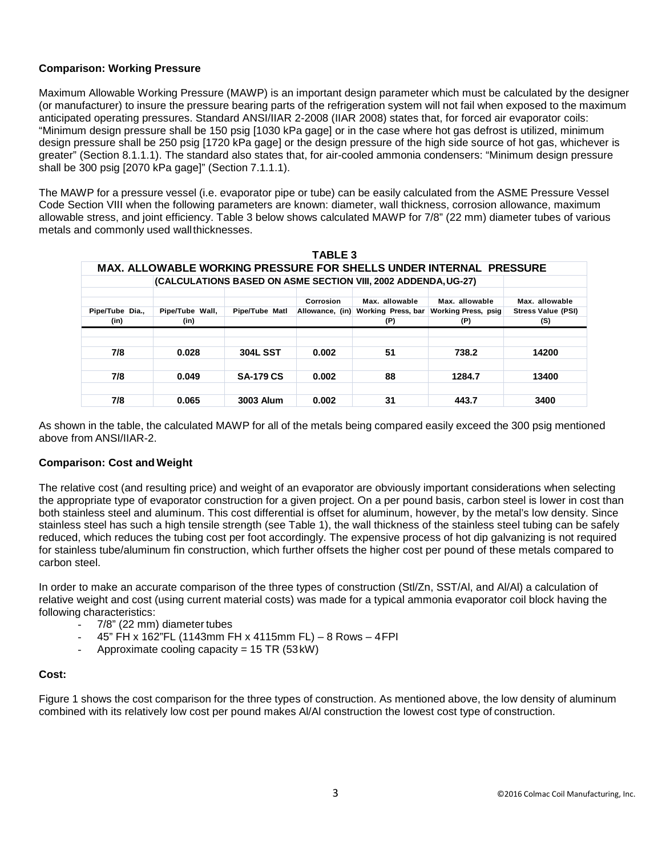## **Comparison: Working Pressure**

Maximum Allowable Working Pressure (MAWP) is an important design parameter which must be calculated by the designer (or manufacturer) to insure the pressure bearing parts of the refrigeration system will not fail when exposed to the maximum anticipated operating pressures. Standard ANSI/IIAR 2-2008 (IIAR 2008) states that, for forced air evaporator coils: "Minimum design pressure shall be 150 psig [1030 kPa gage] or in the case where hot gas defrost is utilized, minimum design pressure shall be 250 psig [1720 kPa gage] or the design pressure of the high side source of hot gas, whichever is greater" (Section 8.1.1.1). The standard also states that, for air-cooled ammonia condensers: "Minimum design pressure shall be 300 psig [2070 kPa gage]" (Section 7.1.1.1).

The MAWP for a pressure vessel (i.e. evaporator pipe or tube) can be easily calculated from the ASME Pressure Vessel Code Section VIII when the following parameters are known: diameter, wall thickness, corrosion allowance, maximum allowable stress, and joint efficiency. Table 3 below shows calculated MAWP for 7/8" (22 mm) diameter tubes of various metals and commonly used wallthicknesses.

| <b>TABLE 3</b>                                                            |                         |                  |                 |                           |                                   |                                  |  |  |  |  |  |
|---------------------------------------------------------------------------|-------------------------|------------------|-----------------|---------------------------|-----------------------------------|----------------------------------|--|--|--|--|--|
| <b>MAX. ALLOWABLE WORKING PRESSURE FOR SHELLS UNDER INTERNAL PRESSURE</b> |                         |                  |                 |                           |                                   |                                  |  |  |  |  |  |
| (CALCULATIONS BASED ON ASME SECTION VIII, 2002 ADDENDA, UG-27)            |                         |                  |                 |                           |                                   |                                  |  |  |  |  |  |
|                                                                           |                         |                  | Corrosion       | Max. allowable            | Max. allowable                    | Max. allowable                   |  |  |  |  |  |
| Pipe/Tube Dia.,<br>(in)                                                   | Pipe/Tube Wall,<br>(in) | Pipe/Tube Matl   | Allowance, (in) | Working Press, bar<br>(P) | <b>Working Press, psig</b><br>(P) | <b>Stress Value (PSI)</b><br>(S) |  |  |  |  |  |
|                                                                           |                         |                  |                 |                           |                                   |                                  |  |  |  |  |  |
|                                                                           |                         |                  |                 |                           |                                   |                                  |  |  |  |  |  |
| 7/8                                                                       | 0.028                   | <b>304L SST</b>  | 0.002           | 51                        | 738.2                             | 14200                            |  |  |  |  |  |
|                                                                           |                         |                  |                 |                           |                                   |                                  |  |  |  |  |  |
| 7/8                                                                       | 0.049                   | <b>SA-179 CS</b> | 0.002           | 88                        | 1284.7                            | 13400                            |  |  |  |  |  |
|                                                                           |                         |                  |                 |                           |                                   |                                  |  |  |  |  |  |
| 7/8                                                                       | 0.065                   | 3003 Alum        | 0.002           | 31                        | 443.7                             | 3400                             |  |  |  |  |  |

As shown in the table, the calculated MAWP for all of the metals being compared easily exceed the 300 psig mentioned above from ANSI/IIAR-2.

## **Comparison: Cost and Weight**

The relative cost (and resulting price) and weight of an evaporator are obviously important considerations when selecting the appropriate type of evaporator construction for a given project. On a per pound basis, carbon steel is lower in cost than both stainless steel and aluminum. This cost differential is offset for aluminum, however, by the metal's low density. Since stainless steel has such a high tensile strength (see Table 1), the wall thickness of the stainless steel tubing can be safely reduced, which reduces the tubing cost per foot accordingly. The expensive process of hot dip galvanizing is not required for stainless tube/aluminum fin construction, which further offsets the higher cost per pound of these metals compared to carbon steel.

In order to make an accurate comparison of the three types of construction (Stl/Zn, SST/Al, and Al/Al) a calculation of relative weight and cost (using current material costs) was made for a typical ammonia evaporator coil block having the following characteristics:

- 7/8" (22 mm) diameter tubes
- 45" FH x 162"FL (1143mm FH x 4115mm FL) 8 Rows 4FPI
- Approximate cooling capacity =  $15$  TR (53kW)

#### **Cost:**

Figure 1 shows the cost comparison for the three types of construction. As mentioned above, the low density of aluminum combined with its relatively low cost per pound makes Al/Al construction the lowest cost type of construction.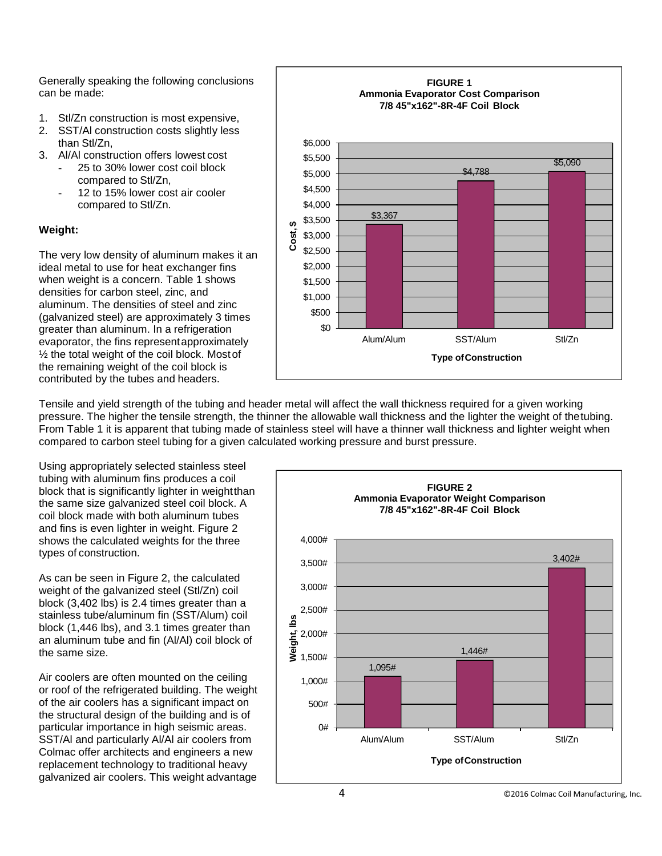Generally speaking the following conclusions can be made:

- 1. Stl/Zn construction is most expensive,
- 2. SST/Al construction costs slightly less than Stl/Zn,
- 3. Al/Al construction offers lowest cost
	- 25 to 30% lower cost coil block compared to Stl/Zn,
	- 12 to 15% lower cost air cooler compared to Stl/Zn.

# **Weight:**

The very low density of aluminum makes it an ideal metal to use for heat exchanger fins when weight is a concern. Table 1 shows densities for carbon steel, zinc, and aluminum. The densities of steel and zinc (galvanized steel) are approximately 3 times greater than aluminum. In a refrigeration evaporator, the fins representapproximately  $\frac{1}{2}$  the total weight of the coil block. Most of the remaining weight of the coil block is contributed by the tubes and headers.



Tensile and yield strength of the tubing and header metal will affect the wall thickness required for a given working pressure. The higher the tensile strength, the thinner the allowable wall thickness and the lighter the weight of thetubing. From Table 1 it is apparent that tubing made of stainless steel will have a thinner wall thickness and lighter weight when compared to carbon steel tubing for a given calculated working pressure and burst pressure.

Using appropriately selected stainless steel tubing with aluminum fins produces a coil block that is significantly lighter in weightthan the same size galvanized steel coil block. A coil block made with both aluminum tubes and fins is even lighter in weight. Figure 2 shows the calculated weights for the three types of construction.

As can be seen in Figure 2, the calculated weight of the galvanized steel (Stl/Zn) coil block (3,402 lbs) is 2.4 times greater than a stainless tube/aluminum fin (SST/Alum) coil block (1,446 lbs), and 3.1 times greater than an aluminum tube and fin (Al/Al) coil block of the same size.

Air coolers are often mounted on the ceiling or roof of the refrigerated building. The weight of the air coolers has a significant impact on the structural design of the building and is of particular importance in high seismic areas. SST/Al and particularly Al/Al air coolers from Colmac offer architects and engineers a new replacement technology to traditional heavy galvanized air coolers. This weight advantage

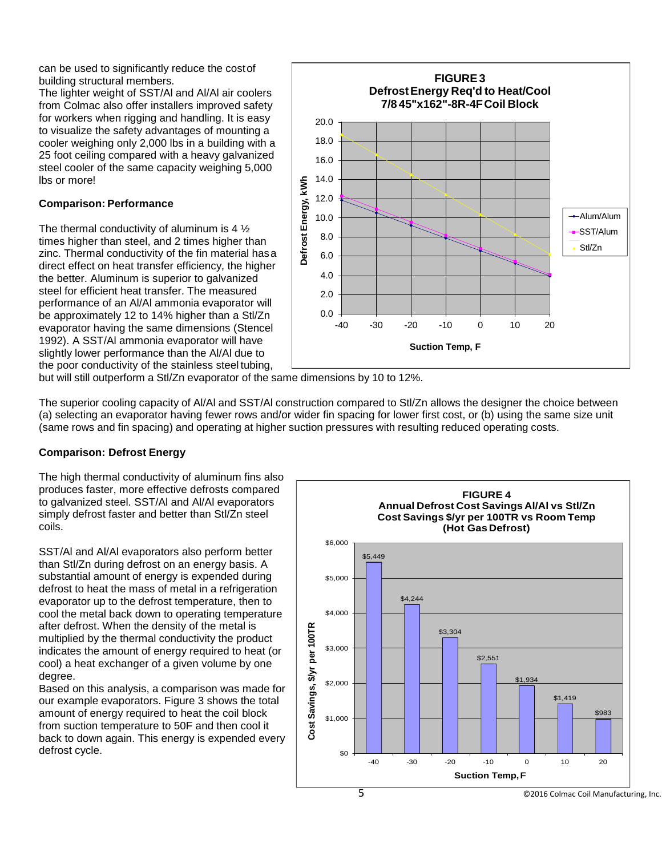can be used to significantly reduce the costof building structural members.

The lighter weight of SST/Al and Al/Al air coolers from Colmac also offer installers improved safety for workers when rigging and handling. It is easy to visualize the safety advantages of mounting a cooler weighing only 2,000 lbs in a building with a 25 foot ceiling compared with a heavy galvanized steel cooler of the same capacity weighing 5,000 lbs or more!

## **Comparison: Performance**

The thermal conductivity of aluminum is 4 ½ times higher than steel, and 2 times higher than zinc. Thermal conductivity of the fin material hasa direct effect on heat transfer efficiency, the higher the better. Aluminum is superior to galvanized steel for efficient heat transfer. The measured performance of an Al/Al ammonia evaporator will be approximately 12 to 14% higher than a Stl/Zn evaporator having the same dimensions (Stencel 1992). A SST/Al ammonia evaporator will have slightly lower performance than the Al/Al due to the poor conductivity of the stainless steel tubing,



but will still outperform a Stl/Zn evaporator of the same dimensions by 10 to 12%.

The superior cooling capacity of Al/Al and SST/Al construction compared to Stl/Zn allows the designer the choice between (a) selecting an evaporator having fewer rows and/or wider fin spacing for lower first cost, or (b) using the same size unit (same rows and fin spacing) and operating at higher suction pressures with resulting reduced operating costs.

## **Comparison: Defrost Energy**

The high thermal conductivity of aluminum fins also produces faster, more effective defrosts compared to galvanized steel. SST/Al and Al/Al evaporators simply defrost faster and better than Stl/Zn steel coils.

SST/Al and Al/Al evaporators also perform better than Stl/Zn during defrost on an energy basis. A substantial amount of energy is expended during defrost to heat the mass of metal in a refrigeration evaporator up to the defrost temperature, then to cool the metal back down to operating temperature after defrost. When the density of the metal is multiplied by the thermal conductivity the product indicates the amount of energy required to heat (or cool) a heat exchanger of a given volume by one degree.

Based on this analysis, a comparison was made for our example evaporators. Figure 3 shows the total amount of energy required to heat the coil block from suction temperature to 50F and then cool it back to down again. This energy is expended every defrost cycle.

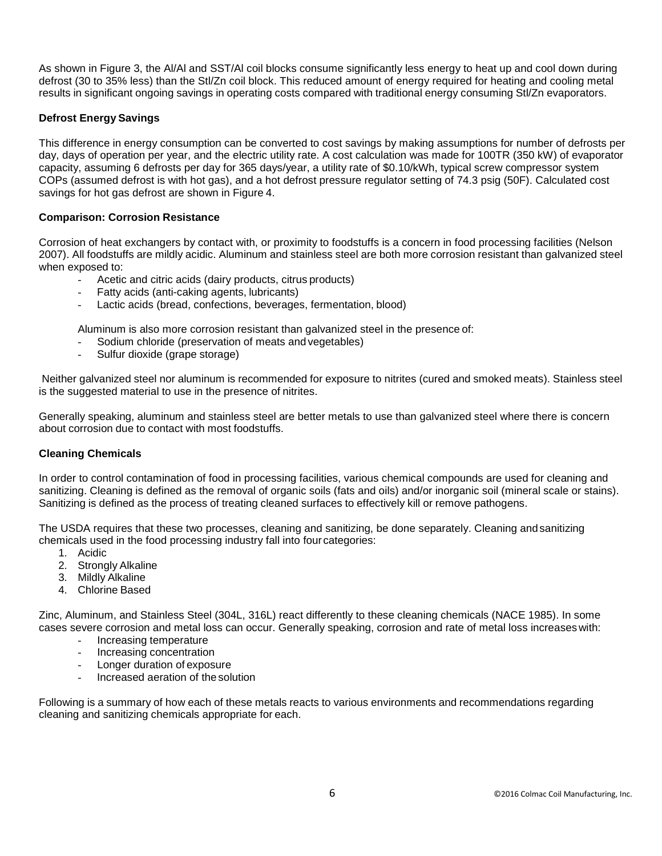As shown in Figure 3, the Al/Al and SST/Al coil blocks consume significantly less energy to heat up and cool down during defrost (30 to 35% less) than the Stl/Zn coil block. This reduced amount of energy required for heating and cooling metal results in significant ongoing savings in operating costs compared with traditional energy consuming Stl/Zn evaporators.

## **Defrost Energy Savings**

This difference in energy consumption can be converted to cost savings by making assumptions for number of defrosts per day, days of operation per year, and the electric utility rate. A cost calculation was made for 100TR (350 kW) of evaporator capacity, assuming 6 defrosts per day for 365 days/year, a utility rate of \$0.10/kWh, typical screw compressor system COPs (assumed defrost is with hot gas), and a hot defrost pressure regulator setting of 74.3 psig (50F). Calculated cost savings for hot gas defrost are shown in Figure 4.

## **Comparison: Corrosion Resistance**

Corrosion of heat exchangers by contact with, or proximity to foodstuffs is a concern in food processing facilities (Nelson 2007). All foodstuffs are mildly acidic. Aluminum and stainless steel are both more corrosion resistant than galvanized steel when exposed to:

- Acetic and citric acids (dairy products, citrus products)
- Fatty acids (anti-caking agents, lubricants)
- Lactic acids (bread, confections, beverages, fermentation, blood)

Aluminum is also more corrosion resistant than galvanized steel in the presence of:

- Sodium chloride (preservation of meats and vegetables)
- Sulfur dioxide (grape storage)

Neither galvanized steel nor aluminum is recommended for exposure to nitrites (cured and smoked meats). Stainless steel is the suggested material to use in the presence of nitrites.

Generally speaking, aluminum and stainless steel are better metals to use than galvanized steel where there is concern about corrosion due to contact with most foodstuffs.

#### **Cleaning Chemicals**

In order to control contamination of food in processing facilities, various chemical compounds are used for cleaning and sanitizing. Cleaning is defined as the removal of organic soils (fats and oils) and/or inorganic soil (mineral scale or stains). Sanitizing is defined as the process of treating cleaned surfaces to effectively kill or remove pathogens.

The USDA requires that these two processes, cleaning and sanitizing, be done separately. Cleaning and sanitizing chemicals used in the food processing industry fall into four categories:

- 1. Acidic
- 2. Strongly Alkaline
- 3. Mildly Alkaline
- 4. Chlorine Based

Zinc, Aluminum, and Stainless Steel (304L, 316L) react differently to these cleaning chemicals (NACE 1985). In some cases severe corrosion and metal loss can occur. Generally speaking, corrosion and rate of metal loss increases with:

- Increasing temperature
- Increasing concentration
- Longer duration of exposure
- Increased aeration of the solution

Following is a summary of how each of these metals reacts to various environments and recommendations regarding cleaning and sanitizing chemicals appropriate for each.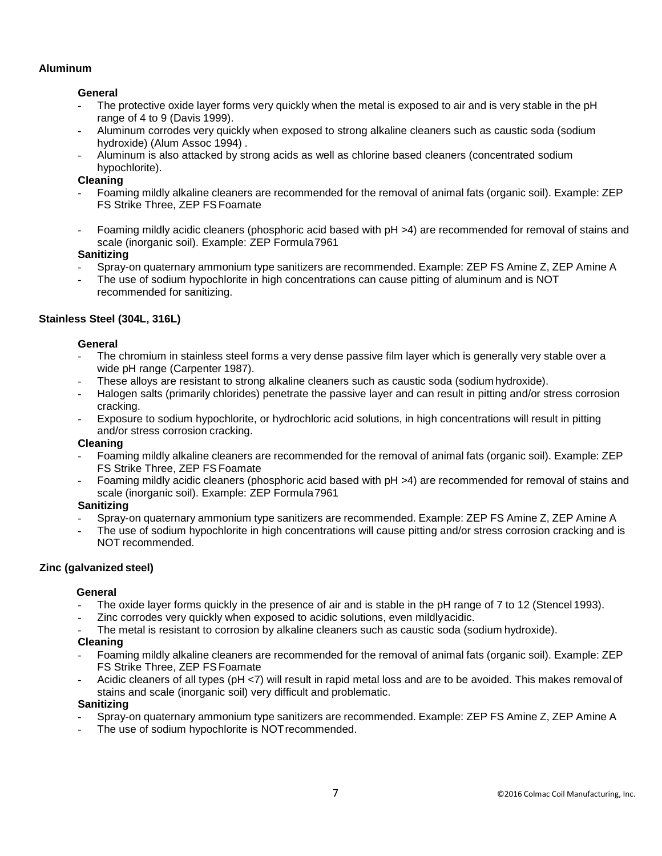## **Aluminum**

### **General**

- The protective oxide layer forms very quickly when the metal is exposed to air and is very stable in the pH range of 4 to 9 (Davis 1999).
- Aluminum corrodes very quickly when exposed to strong alkaline cleaners such as caustic soda (sodium hydroxide) (Alum Assoc 1994) .
- Aluminum is also attacked by strong acids as well as chlorine based cleaners (concentrated sodium hypochlorite).

## **Cleaning**

- Foaming mildly alkaline cleaners are recommended for the removal of animal fats (organic soil). Example: ZEP FS Strike Three, ZEP FSFoamate
- Foaming mildly acidic cleaners (phosphoric acid based with pH >4) are recommended for removal of stains and scale (inorganic soil). Example: ZEP Formula7961

## **Sanitizing**

- Spray-on quaternary ammonium type sanitizers are recommended. Example: ZEP FS Amine Z, ZEP Amine A
- The use of sodium hypochlorite in high concentrations can cause pitting of aluminum and is NOT recommended for sanitizing.

## **Stainless Steel (304L, 316L)**

#### **General**

- The chromium in stainless steel forms a very dense passive film layer which is generally very stable over a wide pH range (Carpenter 1987).
- These alloys are resistant to strong alkaline cleaners such as caustic soda (sodium hydroxide).
- Halogen salts (primarily chlorides) penetrate the passive layer and can result in pitting and/or stress corrosion cracking.
- Exposure to sodium hypochlorite, or hydrochloric acid solutions, in high concentrations will result in pitting and/or stress corrosion cracking.

#### **Cleaning**

- Foaming mildly alkaline cleaners are recommended for the removal of animal fats (organic soil). Example: ZEP FS Strike Three, ZEP FSFoamate
- Foaming mildly acidic cleaners (phosphoric acid based with pH >4) are recommended for removal of stains and scale (inorganic soil). Example: ZEP Formula7961

#### **Sanitizing**

- Spray-on quaternary ammonium type sanitizers are recommended. Example: ZEP FS Amine Z, ZEP Amine A
- The use of sodium hypochlorite in high concentrations will cause pitting and/or stress corrosion cracking and is NOT recommended.

#### **Zinc (galvanized steel)**

#### **General**

- The oxide layer forms quickly in the presence of air and is stable in the pH range of 7 to 12 (Stencel 1993).
- Zinc corrodes very quickly when exposed to acidic solutions, even mildlyacidic.
- The metal is resistant to corrosion by alkaline cleaners such as caustic soda (sodium hydroxide).

#### **Cleaning**

- Foaming mildly alkaline cleaners are recommended for the removal of animal fats (organic soil). Example: ZEP FS Strike Three, ZEP FSFoamate
- Acidic cleaners of all types (pH <7) will result in rapid metal loss and are to be avoided. This makes removal of stains and scale (inorganic soil) very difficult and problematic.

#### **Sanitizing**

- Spray-on quaternary ammonium type sanitizers are recommended. Example: ZEP FS Amine Z, ZEP Amine A
- The use of sodium hypochlorite is NOT recommended.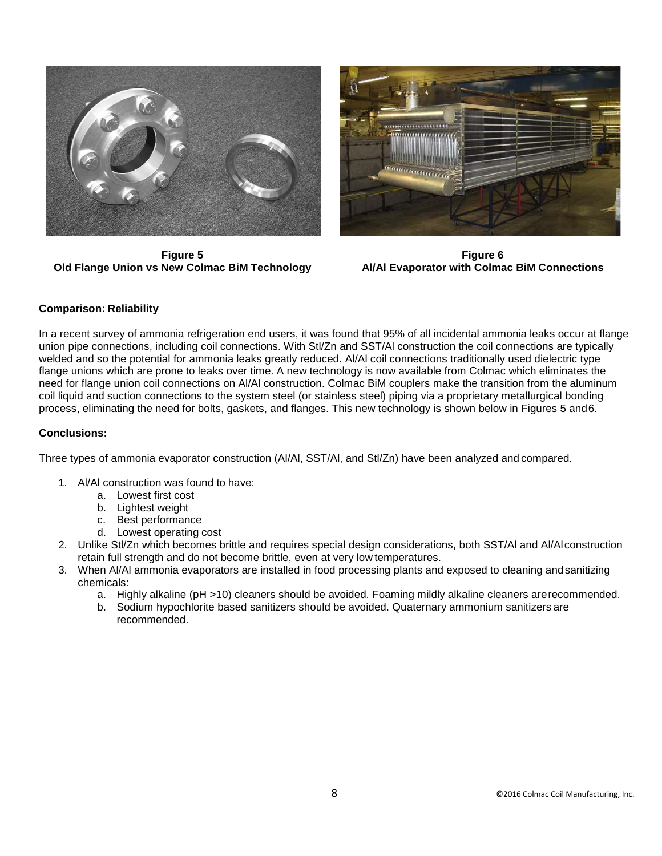

**Figure 5 Old Flange Union vs New Colmac BiM Technology**



**Figure 6 Al/Al Evaporator with Colmac BiM Connections**

## **Comparison: Reliability**

In a recent survey of ammonia refrigeration end users, it was found that 95% of all incidental ammonia leaks occur at flange union pipe connections, including coil connections. With Stl/Zn and SST/Al construction the coil connections are typically welded and so the potential for ammonia leaks greatly reduced. Al/Al coil connections traditionally used dielectric type flange unions which are prone to leaks over time. A new technology is now available from Colmac which eliminates the need for flange union coil connections on Al/Al construction. Colmac BiM couplers make the transition from the aluminum coil liquid and suction connections to the system steel (or stainless steel) piping via a proprietary metallurgical bonding process, eliminating the need for bolts, gaskets, and flanges. This new technology is shown below in Figures 5 and6.

#### **Conclusions:**

Three types of ammonia evaporator construction (Al/Al, SST/Al, and Stl/Zn) have been analyzed and compared.

- 1. Al/Al construction was found to have:
	- a. Lowest first cost
		- b. Lightest weight
		- c. Best performance
		- d. Lowest operating cost
- 2. Unlike Stl/Zn which becomes brittle and requires special design considerations, both SST/Al and Al/Alconstruction retain full strength and do not become brittle, even at very low temperatures.
- 3. When Al/Al ammonia evaporators are installed in food processing plants and exposed to cleaning andsanitizing chemicals:
	- a. Highly alkaline (pH >10) cleaners should be avoided. Foaming mildly alkaline cleaners arerecommended.
	- b. Sodium hypochlorite based sanitizers should be avoided. Quaternary ammonium sanitizers are recommended.